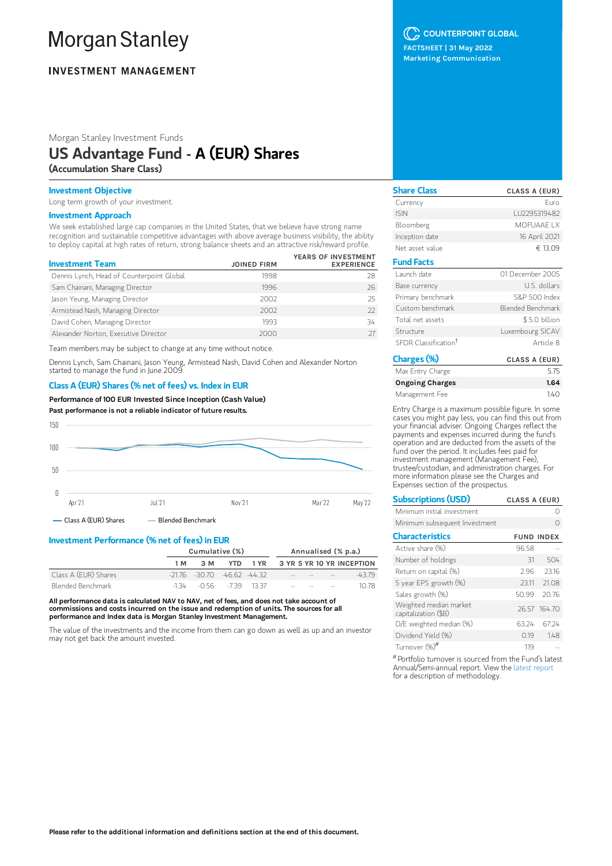# **Morgan Stanley**

## **INVESTMENT MANAGEMENT**

Morgan Stanley Investment Funds

## US Advantage Fund - A (EUR) Shares

(Accumulation Share Class)

### Investment Objective

Long term growth of your investment.

#### Investment Approach

We seek established large cap companies in the United States, that we believe have strong name recognition and sustainable competitive advantages with above average business visibility, the ability to deploy capital at high rates of return, strong balance sheets and an attractive risk/reward profile.

| <b>Investment Team</b>                    | <b>JOINED FIRM</b> | YEARS OF INVESTMENT<br><b>EXPERIENCE</b> |
|-------------------------------------------|--------------------|------------------------------------------|
| Dennis Lynch, Head of Counterpoint Global | 1998               | 28                                       |
| Sam Chainani, Managing Director           | 1996               | 26                                       |
| Jason Yeung, Managing Director            | 2002               | 25                                       |
| Armistead Nash, Managing Director         | 2002               | 77                                       |
| David Cohen, Managing Director            | 1993               | 34                                       |
| Alexander Norton, Executive Director      | 2000               |                                          |

Team members may be subject to change at any time without notice.

Dennis Lynch, Sam Chainani, Jason Yeung, Armistead Nash, David Cohen and Alexander Norton started to manage the fund in June 2009.

## Class A (EUR) Shares (% net of fees) vs. Index in EUR

Performance of100 EUR Invested Since Inception (Cash Value)

Past performance is not a reliable indicator of future results.



Investment Performance (% net of fees) in EUR

|                      | <u>meddingin i driwrnad (America or redd) meddi</u> |                                     |     |                     |  |                                           |  |                                |
|----------------------|-----------------------------------------------------|-------------------------------------|-----|---------------------|--|-------------------------------------------|--|--------------------------------|
|                      | Cumulative (%)                                      |                                     |     | Annualised (% p.a.) |  |                                           |  |                                |
|                      | 1 M                                                 | 3 M                                 | YTD |                     |  |                                           |  | 1 YR 3 YR 5 YR 10 YR INCEPTION |
| Class A (EUR) Shares |                                                     | $-21.76$ $-30.70$ $-46.62$ $-44.32$ |     |                     |  | the company of the company of the company |  | -43.79                         |
| Blended Benchmark    |                                                     | $-134 - 056 - 739$ 1337             |     |                     |  | the contract of the contract of           |  | 10.78                          |

All performance data is calculated NAV to NAV, net of fees, and does not take account of commissions and costs incurred on the issue and redemption of units. The sources for all performance and Index data is Morgan Stanley Investment Management.

The value of the investments and the income from them can go down as well as up and an investor may not get back the amount invested.

## C COUNTERPOINT GLOBAL

FACTSHEET | 31 May 2022 Marketing Communication

| <b>Share Class</b>               | CLASS A (EUR)     |
|----------------------------------|-------------------|
| Currency                         | Furo              |
| <b>ISIN</b>                      | LU2295319482      |
| Bloomberg                        | MOFUAAF I X       |
| Inception date                   | 16 April 2021     |
| Net asset value                  | € 13.09           |
| <b>Fund Facts</b>                |                   |
| Launch date                      | 01 December 2005  |
| Base currency                    | U.S. dollars      |
| Primary benchmark                | S&P 500 Index     |
| Custom benchmark                 | Blended Benchmark |
| Total net assets                 | \$5.0 billion     |
| Structure                        | Luxembourg SICAV  |
| SFDR Classification <sup>†</sup> | Article 8         |
| $\sqrt{2}$<br>- 1                |                   |

| Charges (%)            | CLASS A (EUR) |
|------------------------|---------------|
| Max Entry Charge       | 575           |
| <b>Ongoing Charges</b> | 1.64          |
| Management Fee         | 140           |

Entry Charge is a maximum possible figure. In some cases you might pay less, you can find this out from your financial adviser. Ongoing Charges reflect the payments and expenses incurred during the fund's operation and are deducted from the assets of the fund over the period. It includes fees paid for investment management (Management Fee), trustee/custodian, and administration charges. For more information please see the Charges and Expenses section of the prospectus.

| <b>Subscriptions (USD)</b>                     | CLASS A (EUR) |                   |
|------------------------------------------------|---------------|-------------------|
| Minimum initial investment                     |               |                   |
| Minimum subsequent Investment                  |               |                   |
| <b>Characteristics</b>                         |               | <b>FUND INDEX</b> |
| Active share (%)                               | 96.58         |                   |
| Number of holdings                             | 31            | 504               |
| Return on capital (%)                          | 2.96          | 23.16             |
| 5 year EPS growth (%)                          | 2311          | 21.08             |
| Sales growth (%)                               | 50.99         | 20.76             |
| Weighted median market<br>capitalization (\$B) |               | 26.57 164.70      |
| D/E weighted median (%)                        | 63.24         | 67 24             |
| Dividend Yield (%)                             | 0.19          | 148               |
| Turnover (%) <sup>#</sup>                      | 119           |                   |

Portfolio turnover is sourced from the Fund's latest #Annual/Semi-annual report. View the latest [report](https://www.morganstanley.com/im/msinvf/index.html) for a description of methodology.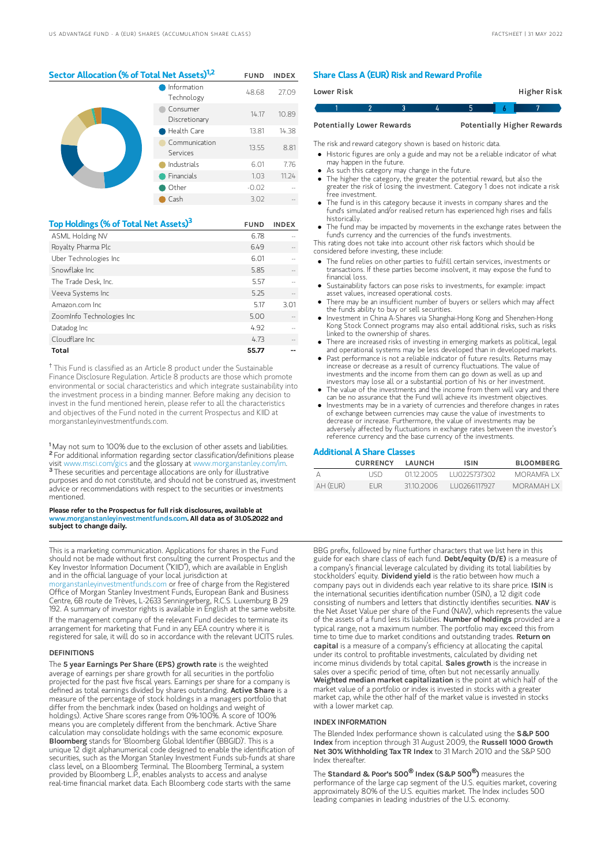## Sector Allocation (% of Total Net Assets)<sup>1,2</sup> FUND INDEX

|  | Information<br>Technology | 48.68   | 27.09 |
|--|---------------------------|---------|-------|
|  | Consumer<br>Discretionary | 14.17   | 10.89 |
|  | Health Care               | 13.81   | 14.38 |
|  | Communication<br>Services | 13.55   | 8.81  |
|  | Industrials               | 6.01    | 7.76  |
|  | Financials                | 1.03    | 11.24 |
|  | Other                     | $-0.02$ |       |
|  | Cash                      | 3.02    |       |

| Top Holdings (% of Total Net Assets) <sup>3</sup> | <b>FUND</b> | <b>INDEX</b> |
|---------------------------------------------------|-------------|--------------|
| ASML Holding NV                                   | 6.78        |              |
| Royalty Pharma Plc                                | 6.49        |              |
| Uber Technologies Inc                             | 6.01        |              |
| Snowflake Inc.                                    | 5.85        |              |
| The Trade Desk, Inc.                              | 5.57        |              |
| Veeva Systems Inc                                 | 5.25        |              |
| Amazon.com Inc.                                   | 5.17        | 3.01         |
| ZoomInfo Technologies Inc                         | 5.00        |              |
| Datadog Inc                                       | 4.92        |              |
| Cloudflare Inc.                                   | 4.73        |              |
| Total                                             | 55.77       |              |

 $^\dagger$  This Fund is classified as an Article 8 product under the Sustainable Finance Disclosure Regulation. Article 8 products are those which promote environmental or social characteristics and which integrate sustainability into the investment process in a binding manner. Before making any decision to invest in the fund mentioned herein, please refer to all the characteristics and objectives of the Fund noted in the current Prospectus and KIID at morganstanleyinvestmentfunds.com.

<sup>1</sup>May not sum to 100% due to the exclusion of other assets and liabilities. <sup>2</sup> For additional information regarding sector classification/definitions please visit www.msci.com/gics and the glossary at www.morganstanley.com/im. <sup>3</sup> These securities and percentage allocations are only for illustrative purposes and do not constitute, and should not be construed as, investment advice or recommendations with respect to the securities or investments mentioned.

#### Please refer to the Prospectus for full risk disclosures, available at www.morganstanleyinvestmentfunds.com. All data as of 31.05.2022 and subject to change daily.

This is a marketing communication. Applications for shares in the Fund should not be made without first consulting the current Prospectus and the Key Investor Information Document ("KIID"), which are available in English and in the official language of your local jurisdiction at

[morganstanleyinvestmentfunds.com](https://www.morganstanley.com/im/msinvf/index.html) or free of charge from the Registered Office of Morgan Stanley Investment Funds, European Bank and Business Centre, 6B route de Trèves, L-2633 Senningerberg, R.C.S. Luxemburg B 29 192. A summary of investor rights is available in English at the same website.

If the management company of the relevant Fund decides to terminate its arrangement for marketing that Fund in any EEA country where it is registered for sale, it will do so in accordance with the relevant UCITS rules.

#### **DEFINITIONS**

The 5 year Earnings Per Share (EPS) growth rate is the weighted average of earnings per share growth for all securities in the portfolio projected for the past five fiscal years. Earnings per share for a company is<br>defined as total earnings divided by shares outstanding. **Active Share** is a measure of the percentage of stock holdings in a managers portfolio that differ from the benchmark index (based on holdings and weight of holdings). Active Share scores range from 0%-100%. A score of 100% means you are completely different from the benchmark. Active Share calculation may consolidate holdings with the same economic exposure. Bloomberg stands for 'Bloomberg Global Identifier (BBGID)'. This is a unique 12 digit alphanumerical code designed to enable the identification of securities, such as the Morgan Stanley Investment Funds sub-funds at share class level, on a Bloomberg Terminal. The Bloomberg Terminal, a system provided by Bloomberg L.P., enables analysts to access and analyse real-time financial market data. Each Bloomberg code starts with the same

#### Share Class A (EUR) Risk and Reward Profile

| Lower Risk |                                  |  |   | <b>Higher Risk</b>                |
|------------|----------------------------------|--|---|-----------------------------------|
|            |                                  |  | h |                                   |
|            | <b>Potentially Lower Rewards</b> |  |   | <b>Potentially Higher Rewards</b> |

The risk and reward category shown is based on historic data.

- Historic figures are only a guide and may not be a reliable indicator of what may happen in the future.
- As such this category may change in the future.
- The higher the category, the greater the potential reward, but also the greater the risk of losing the investment. Category 1 does not indicate a risk free investment.
- The fund is in this category because it invests in company shares and the fund's simulated and/or realised return has experienced high rises and falls historically.
- The fund may be impacted by movements in the exchange rates between the fund's currency and the currencies of the fund's investments.

This rating does not take into account other risk factors which should be considered before investing, these include:

- The fund relies on other parties to fulfill certain services, investments or transactions. If these parties become insolvent, it may expose the fund to financial loss.
- Sustainability factors can pose risks to investments, for example: impact asset values, increased operational costs.
- There may be an insufficient number of buyers or sellers which may affect the funds ability to buy or sell securities.
- Investment in China A-Shares via Shanghai-Hong Kong and Shenzhen-Hong Kong Stock Connect programs may also entail additional risks, such as risks linked to the ownership of shares.
- There are increased risks of investing in emerging markets as political, legal and operational systems may be less developed than in developed markets.
- Past performance is not a reliable indicator of future results. Returns may increase or decrease as a result of currency fluctuations. The value of investments and the income from them can go down as well as up and investors may lose all or a substantial portion of his or her investment.
- The value of the investments and the income from them will vary and there can be no assurance that the Fund will achieve its investment objectives.
- Investments may be in a variety of currencies and therefore changes in rates of exchange between currencies may cause the value of investments to decrease or increase. Furthermore, the value of investments may be adversely affected by fluctuations in exchange rates between the investor's reference currency and the base currency of the investments.

#### Additional A Share Classes

|          | <b>CURRENCY</b> | <b>I AUNCH</b> | <b>ISIN</b>   | <b>BLOOMBERG</b> |
|----------|-----------------|----------------|---------------|------------------|
|          | I ISD           | 01122005       | 1110225737302 | MORAMEA I X      |
| AH (EUR) | FUR.            | 31102006       | LU0266117927  | MORAMAH I X      |

BBG prefix, followed by nine further characters that we list here in this guide for each share class of each fund. Debt/equity (D/E) is a measure of a company's financial leverage calculated by dividing its total liabilities by stockholders' equity. Dividend yield is the ratio between how much a company pays out in dividends each year relative to its share price. ISIN is the international securities identification number (ISIN), a 12 digit code consisting of numbers and letters that distinctly identifies securities. NAV is the Net Asset Value per share of the Fund (NAV), which represents the value of the assets of a fund less its liabilities. Number of holdings provided are a typical range, not a maximum number. The portfolio may exceed this from time to time due to market conditions and outstanding trades. **Return on** capital is a measure of a company's efficiency at allocating the capital under its control to profitable investments, calculated by dividing net income minus dividends by total capital. Sales growth is the increase in sales over a specific period of time, often but not necessarily annually Weighted median market capitalization is the point at which half of the market value of a portfolio or index is invested in stocks with a greater market cap, while the other half of the market value is invested in stocks with a lower market cap.

#### INDEX INFORMATION

The Blended Index performance shown is calculated using the S&P 500 Index from inception through 31 August 2009, the Russell 1000 Growth Net 30% Withholding Tax TR Index to 31 March 2010 and the S&P 500 Index thereafter.

The Standard & Poor's 500 **®** Index (S&P 500 **®**) measures the performance of the large cap segment of the U.S. equities market, covering approximately 80% of the U.S. equities market. The Index includes 500 leading companies in leading industries of the U.S. economy.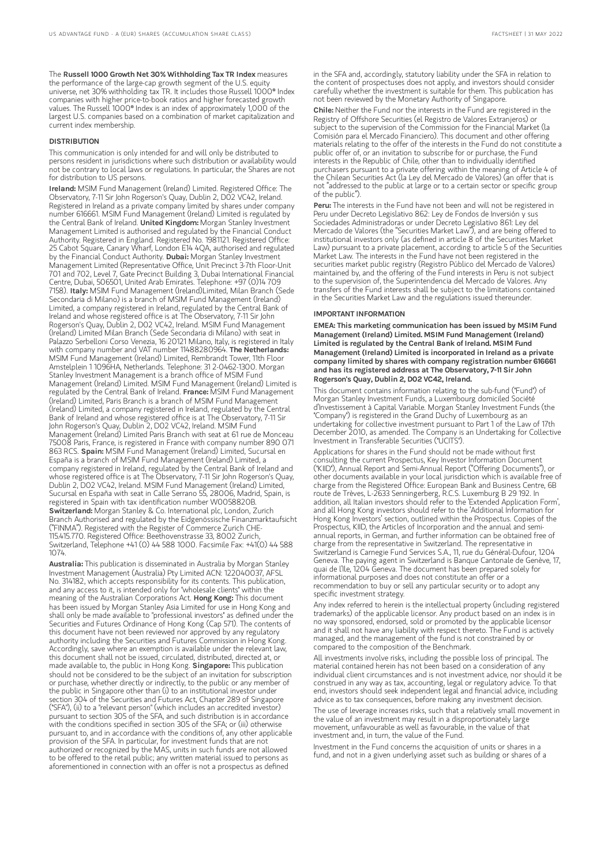#### DISTRIBUTION

This communication is only intended for and will only be distributed to persons resident in jurisdictions where such distribution or availability would not be contrary to local laws or regulations. In particular, the Shares are not for distribution to US persons.

Ireland: MSIM Fund Management (Ireland) Limited. Registered Office: The Observatory, 7-11 Sir John Rogerson's Quay, Dublin 2, D02 VC42, Ireland. Registered in Ireland as a private company limited by shares under company number 616661. MSIM Fund Management (Ireland) Limited is regulated by the Central Bank of Ireland. United Kingdom: Morgan Stanley Investment Management Limited is authorised and regulated by the Financial Conduct Authority. Registered in England. Registered No. 1981121. Registered Office: 25 Cabot Square, Canary Wharf, London E14 4QA, authorised and regulated<br>by the Financial Conduct Authority. **Dubai:** Morgan Stanley Investment Management Limited (Representative Office, Unit Precinct 3-7th Floor-Unit 701 and 702, Level 7, Gate Precinct Building 3, Dubai International Financial Centre, Dubai, 506501, United Arab Emirates. Telephone: +97 (0)14 709 7158). Italy: MSIM Fund Management (Ireland)Limited, Milan Branch (Sede Secondaria di Milano) is a branch of MSIM Fund Management (Ireland) Limited, a company registered in Ireland, regulated by the Central Bank of Ireland and whose registered office is at The Observatory, 7-11 Sir John Rogerson's Quay, Dublin 2, D02 VC42, Ireland. MSIM Fund Management (Ireland) Limited Milan Branch (Sede Secondaria di Milano) with seat in Palazzo Serbelloni Corso Venezia, 16 20121 Milano, Italy, is registered in Italy<br>with company number and VAT number 11488280964. **The Netherlands:** MSIM Fund Management (Ireland) Limited, Rembrandt Tower, 11th Floor Amstelplein 1 1096HA, Netherlands. Telephone: 31 2-0462-1300. Morgan Stanley Investment Management is a branch office of MSIM Fund Management (Ireland) Limited. MSIM Fund Management (Ireland) Limited is regulated by the Central Bank of Ireland. France: MSIM Fund Management (Ireland) Limited, Paris Branch is a branch of MSIM Fund Management (Ireland) Limited, a company registered in Ireland, regulated by the Central Bank of Ireland and whose registered office is at The Observatory, 7-11 Sir John Rogerson's Quay, Dublin 2, D02 VC42, Ireland. MSIM Fund Management (Ireland) Limited Paris Branch with seat at 61 rue de Monceau 75008 Paris, France, is registered in France with company number 890 071<br>863 RCS. **Spain:** MSIM Fund Management (Ireland) Limited, Sucursal en España is a branch of MSIM Fund Management (Ireland) Limited, a company registered in Ireland, regulated by the Central Bank of Ireland and whose registered office is at The Observatory, 7-11 Sir John Rogerson's Quay, Dublin 2, D02 VC42, Ireland. MSIM Fund Management (Ireland) Limited, Sucursal en España with seat in Calle Serrano 55, 28006, Madrid, Spain, is registered in Spain with tax identification number W0058820B. Switzerland: Morgan Stanley & Co. International plc, London, Zurich Branch Authorised and regulated by the Eidgenössische Finanzmarktaufsicht ("FINMA"). Registered with the Register of Commerce Zurich CHE-115.415.770. Registered Office: Beethovenstrasse 33, 8002 Zurich, Switzerland, Telephone +41 (0) 44 588 1000. Facsimile Fax: +41(0) 44 588 1074.

Australia: This publication is disseminated in Australia by Morgan Stanley Investment Management (Australia) Pty Limited ACN: 122040037, AFSL No. 314182, which accepts responsibility for its contents. This publication, and any access to it, is intended only for "wholesale clients" within the meaning of the Australian Corporations Act. Hong Kong: This document has been issued by Morgan Stanley Asia Limited for use in Hong Kong and shall only be made available to "professional investors" as defined under the Securities and Futures Ordinance of Hong Kong (Cap 571). The contents of this document have not been reviewed nor approved by any regulatory authority including the Securities and Futures Commission in Hong Kong. Accordingly, save where an exemption is available under the relevant law, this document shall not be issued, circulated, distributed, directed at, or made available to, the public in Hong Kong. Singapore: This publication should not be considered to be the subject of an invitation for subscription or purchase, whether directly or indirectly, to the public or any member of the public in Singapore other than (i) to an institutional investor under section 304 of the Securities and Futures Act, Chapter 289 of Singapore ("SFA"), (ii) to a "relevant person" (which includes an accredited investor) pursuant to section 305 of the SFA, and such distribution is in accordance parsalant to section 305 of the SFA; and section assistant is in decordant<br>with the conditions specified in section 305 of the SFA; or (iii) otherwise pursuant to, and in accordance with the conditions of, any other applicable provision of the SFA. In particular, for investment funds that are not authorized or recognized by the MAS, units in such funds are not allowed to be offered to the retail public; any written material issued to persons as aforementioned in connection with an offer is not a prospectus as defined

in the SFA and, accordingly, statutory liability under the SFA in relation to the content of prospectuses does not apply, and investors should consider carefully whether the investment is suitable for them. This publication has not been reviewed by the Monetary Authority of Singapore.

Chile: Neither the Fund nor the interests in the Fund are registered in the Registry of Offshore Securities (el Registro de Valores Extranjeros) or subject to the supervision of the Commission for the Financial Market (la Comisión para el Mercado Financiero). This document and other offering materials relating to the offer of the interests in the Fund do not constitute a public offer of, or an invitation to subscribe for or purchase, the Fund interests in the Republic of Chile, other than to individually identified purchasers pursuant to a private offering within the meaning of Article 4 of the Chilean Securities Act (la Ley del Mercado de Valores) (an offer that is not "addressed to the public at large or to a certain sector or specific group of the public").

Peru: The interests in the Fund have not been and will not be registered in Peru under Decreto Legislativo 862: Ley de Fondos de Inversión y sus Sociedades Administradoras or under Decreto Legislativo 861: Ley del Mercado de Valores (the "Securities Market Law"), and are being offered to institutional investors only (as defined in article 8 of the Securities Market Law) pursuant to a private placement, according to article 5 of the Securities Market Law. The interests in the Fund have not been registered in the securities market public registry (Registro Público del Mercado de Valores) maintained by, and the offering of the Fund interests in Peru is not subject to the supervision of, the Superintendencia del Mercado de Valores. Any transfers of the Fund interests shall be subject to the limitations contained in the Securities Market Law and the regulations issued thereunder.

#### IMPORTANT INFORMATION

EMEA: This marketing communication has been issued by MSIM Fund Management (Ireland) Limited. MSIM Fund Management (Ireland) Limited is regulated by the Central Bank of Ireland. MSIM Fund Management (Ireland) Limited is incorporated in Ireland as a private company limited by shares with company registration number 616661 and has its registered address at The Observatory, 7-11 Sir John Rogerson's Quay, Dublin 2, D02 VC42, Ireland.

This document contains information relating to the sub-fund ("Fund") of Morgan Stanley Investment Funds, a Luxembourg domiciled Société d'Investissement à Capital Variable. Morgan Stanley Investment Funds (the "Company") is registered in the Grand Duchy of Luxembourg as an undertaking for collective investment pursuant to Part 1 of the Law of 17th December 2010, as amended. The Company is an Undertaking for Collective Investment in Transferable Securities ("UCITS").

Applications for shares in the Fund should not be made without first consulting the current Prospectus, Key Investor Information Document ("KIID"), Annual Report and Semi-Annual Report ("Offering Documents"), or other documents available in your local jurisdiction which is available free of charge from the Registered Office: European Bank and Business Centre, 6B route de Trèves, L-2633 Senningerberg, R.C.S. Luxemburg B 29 192. In addition, all Italian investors should refer to the 'Extended Application Form', and all Hong Kong investors should refer to the 'Additional Information for Hong Kong Investors' section, outlined within the Prospectus. Copies of the Prospectus, KIID, the Articles of Incorporation and the annual and semiannual reports, in German, and further information can be obtained free of charge from the representative in Switzerland. The representative in Switzerland is Carnegie Fund Services S.A., 11, rue du Général-Dufour, 1204 Geneva. The paying agent in Switzerland is Banque Cantonale de Genève, 17, quai de l'Ile, 1204 Geneva. The document has been prepared solely for informational purposes and does not constitute an offer or a recommendation to buy or sell any particular security or to adopt any specific investment strategy.

Any index referred to herein is the intellectual property (including registered trademarks) of the applicable licensor. Any product based on an index is in no way sponsored, endorsed, sold or promoted by the applicable licensor and it shall not have any liability with respect thereto. The Fund is actively managed, and the management of the fund is not constrained by or compared to the composition of the Benchmark.

All investments involve risks, including the possible loss of principal. The material contained herein has not been based on a consideration of any individual client circumstances and is not investment advice, nor should it be construed in any way as tax, accounting, legal or regulatory advice. To that end, investors should seek independent legal and financial advice, including advice as to tax consequences, before making any investment decision.

The use of leverage increases risks, such that a relatively small movement in the value of an investment may result in a disproportionately large movement, unfavourable as well as favourable, in the value of that investment and, in turn, the value of the Fund.

Investment in the Fund concerns the acquisition of units or shares in a fund, and not in a given underlying asset such as building or shares of a